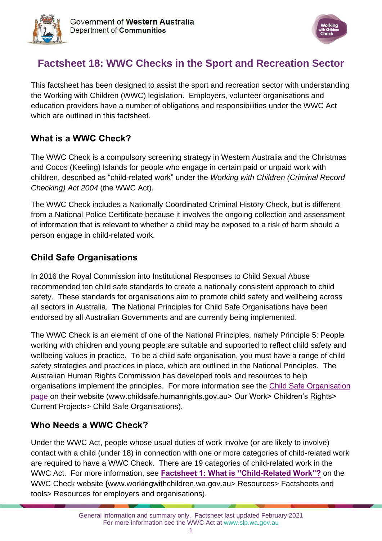



# **Factsheet 18: WWC Checks in the Sport and Recreation Sector**

This factsheet has been designed to assist the sport and recreation sector with understanding the Working with Children (WWC) legislation. Employers, volunteer organisations and education providers have a number of obligations and responsibilities under the WWC Act which are outlined in this factsheet.

### **What is a WWC Check?**

The WWC Check is a compulsory screening strategy in Western Australia and the Christmas and Cocos (Keeling) Islands for people who engage in certain paid or unpaid work with children, described as "child-related work" under the *Working with Children (Criminal Record Checking) Act 2004* (the WWC Act).

The WWC Check includes a Nationally Coordinated Criminal History Check, but is different from a National Police Certificate because it involves the ongoing collection and assessment of information that is relevant to whether a child may be exposed to a risk of harm should a person engage in child-related work.

### **Child Safe Organisations**

In 2016 the Royal Commission into Institutional Responses to Child Sexual Abuse recommended ten child safe standards to create a nationally consistent approach to child safety. These standards for organisations aim to promote child safety and wellbeing across all sectors in Australia. The National Principles for Child Safe Organisations have been endorsed by all Australian Governments and are currently being implemented.

The WWC Check is an element of one of the National Principles, namely Principle 5: People working with children and young people are suitable and supported to reflect child safety and wellbeing values in practice. To be a child safe organisation, you must have a range of child safety strategies and practices in place, which are outlined in the National Principles. The Australian Human Rights Commission has developed tools and resources to help organisations implement the principles. For more information see the [Child Safe Organisation](https://humanrights.gov.au/our-work/childrens-rights/projects/child-safe-organisations)  [page](https://humanrights.gov.au/our-work/childrens-rights/projects/child-safe-organisations) on their website (www.childsafe.humanrights.gov.au> Our Work> Children's Rights> Current Projects> Child Safe Organisations).

## **Who Needs a WWC Check?**

Under the WWC Act, people whose usual duties of work involve (or are likely to involve) contact with a child (under 18) in connection with one or more categories of child-related work are required to have a WWC Check. There are 19 categories of child-related work in the WWC Act. For more information, see **[Factsheet 1: What is "Child-Related Work"?](https://workingwithchildren.wa.gov.au/docs/default-source/default-document-library/factsheet-1-what-is-child-related-work-2015.pdf)** on the WWC Check website **(**[www.workingwithchildren.wa.gov.au>](http://www.workingwithchildren.wa.gov.au/) Resources> Factsheets and tools> Resources for employers and organisations).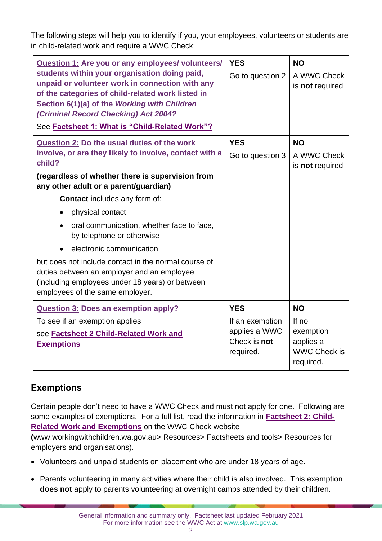The following steps will help you to identify if you, your employees, volunteers or students are in child-related work and require a WWC Check:

| Question 1: Are you or any employees/ volunteers/<br>students within your organisation doing paid,<br>unpaid or volunteer work in connection with any<br>of the categories of child-related work listed in<br>Section 6(1)(a) of the Working with Children<br>(Criminal Record Checking) Act 2004?<br>See Factsheet 1: What is "Child-Related Work"?                                                                                                                                                                                                                                                        | <b>YES</b><br>Go to question 2                                              | <b>NO</b><br>A WWC Check<br>is not required                                        |
|-------------------------------------------------------------------------------------------------------------------------------------------------------------------------------------------------------------------------------------------------------------------------------------------------------------------------------------------------------------------------------------------------------------------------------------------------------------------------------------------------------------------------------------------------------------------------------------------------------------|-----------------------------------------------------------------------------|------------------------------------------------------------------------------------|
| <b>Question 2: Do the usual duties of the work</b><br>involve, or are they likely to involve, contact with a<br>child?<br>(regardless of whether there is supervision from<br>any other adult or a parent/guardian)<br><b>Contact</b> includes any form of:<br>physical contact<br>$\bullet$<br>oral communication, whether face to face,<br>$\bullet$<br>by telephone or otherwise<br>electronic communication<br>but does not include contact in the normal course of<br>duties between an employer and an employee<br>(including employees under 18 years) or between<br>employees of the same employer. | <b>YES</b><br>Go to question 3                                              | <b>NO</b><br>A WWC Check<br>is not required                                        |
| <b>Question 3: Does an exemption apply?</b><br>To see if an exemption applies<br>see <b>Factsheet 2 Child-Related Work and</b><br><b>Exemptions</b>                                                                                                                                                                                                                                                                                                                                                                                                                                                         | <b>YES</b><br>If an exemption<br>applies a WWC<br>Check is not<br>required. | <b>NO</b><br>If $no$<br>exemption<br>applies a<br><b>WWC Check is</b><br>required. |

## **Exemptions**

Certain people don't need to have a WWC Check and must not apply for one. Following are some examples of exemptions. For a full list, read the information in **[Factsheet 2: Child-](https://workingwithchildren.wa.gov.au/docs/default-source/default-document-library/factsheet-2-child-related-work-and-exemptions-2015.pdf)[Related Work and Exemptions](https://workingwithchildren.wa.gov.au/docs/default-source/default-document-library/factsheet-2-child-related-work-and-exemptions-2015.pdf)** on the WWC Check website

**(**[www.workingwithchildren.wa.gov.au>](http://www.workingwithchildren.wa.gov.au/) Resources> Factsheets and tools> Resources for employers and organisations).

- Volunteers and unpaid students on placement who are under 18 years of age.
- Parents volunteering in many activities where their child is also involved. This exemption **does not** apply to parents volunteering at overnight camps attended by their children.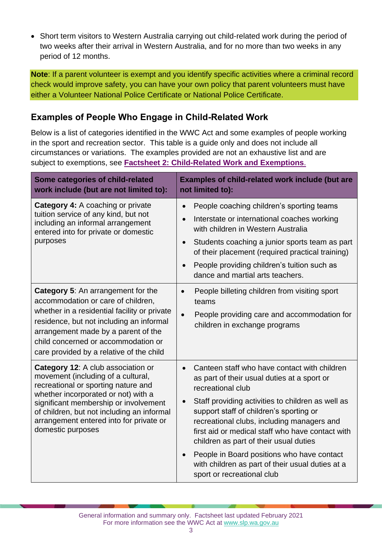• Short term visitors to Western Australia carrying out child-related work during the period of two weeks after their arrival in Western Australia, and for no more than two weeks in any period of 12 months.

**Note**: If a parent volunteer is exempt and you identify specific activities where a criminal record check would improve safety, you can have your own policy that parent volunteers must have either a Volunteer National Police Certificate or National Police Certificate.

### **Examples of People Who Engage in Child-Related Work**

Below is a list of categories identified in the WWC Act and some examples of people working in the sport and recreation sector. This table is a guide only and does not include all circumstances or variations. The examples provided are not an exhaustive list and are subject to exemptions, see **[Factsheet 2: Child-Related Work and Exemptions](https://workingwithchildren.wa.gov.au/docs/default-source/default-document-library/factsheet-2-child-related-work-and-exemptions-2015.pdf)**.

| Some categories of child-related<br>work include (but are not limited to):                                                                                                                                                                                                                                    | <b>Examples of child-related work include (but are</b><br>not limited to):                                                                                                                                                                                                                                                                                                                                                                                                                   |  |
|---------------------------------------------------------------------------------------------------------------------------------------------------------------------------------------------------------------------------------------------------------------------------------------------------------------|----------------------------------------------------------------------------------------------------------------------------------------------------------------------------------------------------------------------------------------------------------------------------------------------------------------------------------------------------------------------------------------------------------------------------------------------------------------------------------------------|--|
| <b>Category 4:</b> A coaching or private<br>tuition service of any kind, but not<br>including an informal arrangement<br>entered into for private or domestic<br>purposes                                                                                                                                     | People coaching children's sporting teams<br>Interstate or international coaches working<br>with children in Western Australia<br>Students coaching a junior sports team as part<br>of their placement (required practical training)<br>People providing children's tuition such as<br>dance and martial arts teachers.                                                                                                                                                                      |  |
| <b>Category 5:</b> An arrangement for the<br>accommodation or care of children,<br>whether in a residential facility or private<br>residence, but not including an informal<br>arrangement made by a parent of the<br>child concerned or accommodation or<br>care provided by a relative of the child         | People billeting children from visiting sport<br>$\bullet$<br>teams<br>People providing care and accommodation for<br>$\bullet$<br>children in exchange programs                                                                                                                                                                                                                                                                                                                             |  |
| Category 12: A club association or<br>movement (including of a cultural,<br>recreational or sporting nature and<br>whether incorporated or not) with a<br>significant membership or involvement<br>of children, but not including an informal<br>arrangement entered into for private or<br>domestic purposes | Canteen staff who have contact with children<br>as part of their usual duties at a sport or<br>recreational club<br>Staff providing activities to children as well as<br>support staff of children's sporting or<br>recreational clubs, including managers and<br>first aid or medical staff who have contact with<br>children as part of their usual duties<br>People in Board positions who have contact<br>with children as part of their usual duties at a<br>sport or recreational club |  |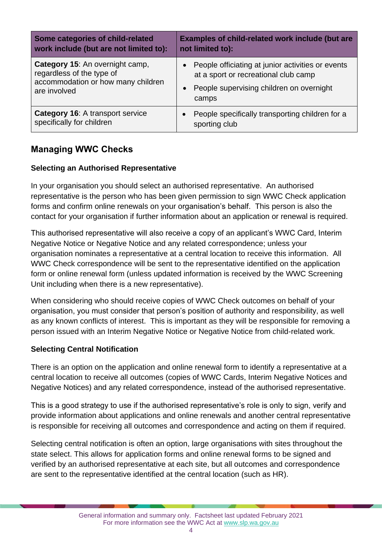| Some categories of child-related        | <b>Examples of child-related work include (but are</b> |
|-----------------------------------------|--------------------------------------------------------|
| work include (but are not limited to):  | not limited to):                                       |
| Category 15: An overnight camp,         | People officiating at junior activities or events      |
| regardless of the type of               | at a sport or recreational club camp                   |
| accommodation or how many children      | People supervising children on overnight               |
| are involved                            | camps                                                  |
| <b>Category 16: A transport service</b> | People specifically transporting children for a        |
| specifically for children               | sporting club                                          |

### **Managing WWC Checks**

#### **Selecting an Authorised Representative**

In your organisation you should select an authorised representative. An authorised representative is the person who has been given permission to sign WWC Check application forms and confirm online renewals on your organisation's behalf. This person is also the contact for your organisation if further information about an application or renewal is required.

This authorised representative will also receive a copy of an applicant's WWC Card, Interim Negative Notice or Negative Notice and any related correspondence; unless your organisation nominates a representative at a central location to receive this information. All WWC Check correspondence will be sent to the representative identified on the application form or online renewal form (unless updated information is received by the WWC Screening Unit including when there is a new representative).

When considering who should receive copies of WWC Check outcomes on behalf of your organisation, you must consider that person's position of authority and responsibility, as well as any known conflicts of interest. This is important as they will be responsible for removing a person issued with an Interim Negative Notice or Negative Notice from child-related work.

#### **Selecting Central Notification**

There is an option on the application and online renewal form to identify a representative at a central location to receive all outcomes (copies of WWC Cards, Interim Negative Notices and Negative Notices) and any related correspondence, instead of the authorised representative.

This is a good strategy to use if the authorised representative's role is only to sign, verify and provide information about applications and online renewals and another central representative is responsible for receiving all outcomes and correspondence and acting on them if required.

Selecting central notification is often an option, large organisations with sites throughout the state select. This allows for application forms and online renewal forms to be signed and verified by an authorised representative at each site, but all outcomes and correspondence are sent to the representative identified at the central location (such as HR).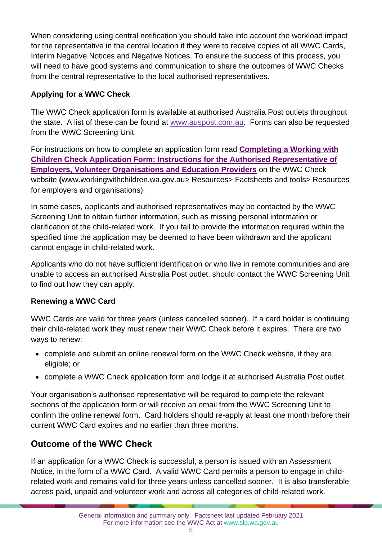When considering using central notification you should take into account the workload impact for the representative in the central location if they were to receive copies of all WWC Cards, Interim Negative Notices and Negative Notices. To ensure the success of this process, you will need to have good systems and communication to share the outcomes of WWC Checks from the central representative to the local authorised representatives.

#### **Applying for a WWC Check**

The WWC Check application form is available at authorised Australia Post outlets throughout the state. A list of these can be found at [www.auspost.com.au.](https://auspost.com.au/locate/?services=86) Forms can also be requested from the WWC Screening Unit.

For instructions on how to complete an application form read **[Completing a Working with](https://workingwithchildren.wa.gov.au/docs/default-source/default-document-library/completing-the-working-with-children-check-application-form-instructions-for-employers.pdf)  Children Check [Application Form: Instructions for the Authorised Representative of](https://workingwithchildren.wa.gov.au/docs/default-source/default-document-library/completing-the-working-with-children-check-application-form-instructions-for-employers.pdf)  [Employers, Volunteer Organisations and Education Providers](https://workingwithchildren.wa.gov.au/docs/default-source/default-document-library/completing-the-working-with-children-check-application-form-instructions-for-employers.pdf)** on the WWC Check website **(**[www.workingwithchildren.wa.gov.au>](http://www.workingwithchildren.wa.gov.au/) Resources> Factsheets and tools> Resources for employers and organisations).

In some cases, applicants and authorised representatives may be contacted by the WWC Screening Unit to obtain further information, such as missing personal information or clarification of the child-related work. If you fail to provide the information required within the specified time the application may be deemed to have been withdrawn and the applicant cannot engage in child-related work.

Applicants who do not have sufficient identification *or* who live in remote communities and are unable to access an authorised Australia Post outlet, should contact the WWC Screening Unit to find out how they can apply.

#### **Renewing a WWC Card**

WWC Cards are valid for three years (unless cancelled sooner). If a card holder is continuing their child-related work they must renew their WWC Check before it expires. There are two ways to renew:

- complete and submit an online renewal form on the WWC Check website, if they are eligible; or
- complete a WWC Check application form and lodge it at authorised Australia Post outlet.

Your organisation's authorised representative will be required to complete the relevant sections of the application form or will receive an email from the WWC Screening Unit to confirm the online renewal form. Card holders should re-apply at least one month before their current WWC Card expires and no earlier than three months.

## **Outcome of the WWC Check**

If an application for a WWC Check is successful, a person is issued with an Assessment Notice, in the form of a WWC Card. A valid WWC Card permits a person to engage in childrelated work and remains valid for three years unless cancelled sooner. It is also transferable across paid, unpaid and volunteer work and across all categories of child-related work.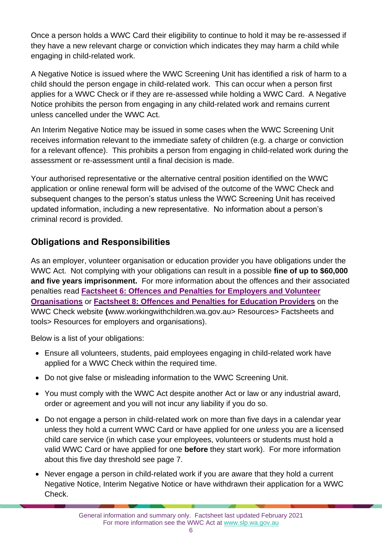Once a person holds a WWC Card their eligibility to continue to hold it may be re-assessed if they have a new relevant charge or conviction which indicates they may harm a child while engaging in child-related work.

A Negative Notice is issued where the WWC Screening Unit has identified a risk of harm to a child should the person engage in child-related work. This can occur when a person first applies for a WWC Check or if they are re-assessed while holding a WWC Card. A Negative Notice prohibits the person from engaging in any child-related work and remains current unless cancelled under the WWC Act.

An Interim Negative Notice may be issued in some cases when the WWC Screening Unit receives information relevant to the immediate safety of children (e.g. a charge or conviction for a relevant offence). This prohibits a person from engaging in child-related work during the assessment or re-assessment until a final decision is made.

Your authorised representative or the alternative central position identified on the WWC application or online renewal form will be advised of the outcome of the WWC Check and subsequent changes to the person's status unless the WWC Screening Unit has received updated information, including a new representative. No information about a person's criminal record is provided.

### **Obligations and Responsibilities**

As an employer, volunteer organisation or education provider you have obligations under the WWC Act. Not complying with your obligations can result in a possible **fine of up to \$60,000 and five years imprisonment.** For more information about the offences and their associated penalties read **[Factsheet 6: Offences and Penalties for Employers and Volunteer](https://workingwithchildren.wa.gov.au/docs/default-source/default-document-library/factsheet-6-offences-and-penalties-for-employers-and-volunteer-organisations-2015.pdf)  [Organisations](https://workingwithchildren.wa.gov.au/docs/default-source/default-document-library/factsheet-6-offences-and-penalties-for-employers-and-volunteer-organisations-2015.pdf)** or **[Factsheet 8: Offences and Penalties for Education Providers](https://workingwithchildren.wa.gov.au/docs/default-source/default-document-library/factsheet-6-offences-and-penalties-for-employers-and-volunteer-organisations-2015.pdf)** on the WWC Check website **(**[www.workingwithchildren.wa.gov.au> Resources> Factsheets and](https://workingwithchildren.wa.gov.au/docs/default-source/default-document-library/factsheet-6-offences-and-penalties-for-employers-and-volunteer-organisations-2015.pdf)  [tools> Resources for employers and organisations\).](https://workingwithchildren.wa.gov.au/docs/default-source/default-document-library/factsheet-6-offences-and-penalties-for-employers-and-volunteer-organisations-2015.pdf) 

Below is a list of your obligations:

- Ensure all volunteers, students, paid employees engaging in child-related work have applied for a WWC Check within the required time.
- Do not give false or misleading information to the WWC Screening Unit.
- You must comply with the WWC Act despite another Act or law or any industrial award, order or agreement and you will not incur any liability if you do so.
- Do not engage a person in child-related work on more than five days in a calendar year unless they hold a current WWC Card or have applied for one *unless* you are a licensed child care service (in which case your employees, volunteers or students must hold a valid WWC Card or have applied for one **before** they start work). For more information about this five day threshold see page 7.
- Never engage a person in child-related work if you are aware that they hold a current Negative Notice, Interim Negative Notice or have withdrawn their application for a WWC Check.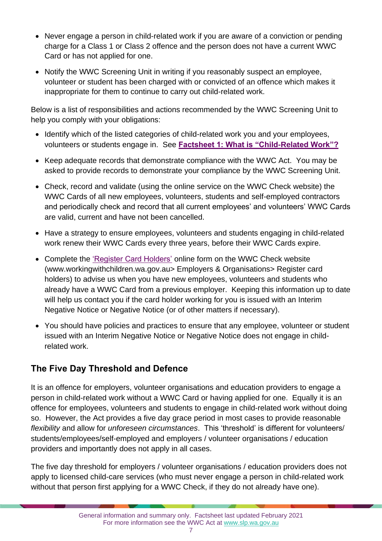- Never engage a person in child-related work if you are aware of a conviction or pending charge for a Class 1 or Class 2 offence and the person does not have a current WWC Card or has not applied for one.
- Notify the WWC Screening Unit in writing if you reasonably suspect an employee, volunteer or student has been charged with or convicted of an offence which makes it inappropriate for them to continue to carry out child-related work.

Below is a list of responsibilities and actions recommended by the WWC Screening Unit to help you comply with your obligations:

- Identify which of the listed categories of child-related work you and your employees, volunteers or students engage in. See **[Factsheet 1: What is "Child-Related Work"?](https://workingwithchildren.wa.gov.au/docs/default-source/default-document-library/factsheet-1-what-is-child-related-work-2015.pdf)**
- Keep adequate records that demonstrate compliance with the WWC Act. You may be asked to provide records to demonstrate your compliance by the WWC Screening Unit.
- Check, record and validate (using the online service on the WWC Check website) the WWC Cards of all new employees, volunteers, students and self-employed contractors and periodically check and record that all current employees' and volunteers' WWC Cards are valid, current and have not been cancelled.
- Have a strategy to ensure employees, volunteers and students engaging in child-related work renew their WWC Cards every three years, before their WWC Cards expire.
- Complete the ['Register Card Holders'](https://workingwithchildren.wa.gov.au/employers-organisations/online-services/registeremployees) online form on the WWC Check website (www.workingwithchildren.wa.gov.au> Employers & Organisations> Register card holders) to advise us when you have new employees, volunteers and students who already have a WWC Card from a previous employer. Keeping this information up to date will help us contact you if the card holder working for you is issued with an Interim Negative Notice or Negative Notice (or of other matters if necessary).
- You should have policies and practices to ensure that any employee, volunteer or student issued with an Interim Negative Notice or Negative Notice does not engage in childrelated work.

## **The Five Day Threshold and Defence**

It is an offence for employers, volunteer organisations and education providers to engage a person in child-related work without a WWC Card or having applied for one. Equally it is an offence for employees, volunteers and students to engage in child-related work without doing so. However, the Act provides a five day grace period in most cases to provide reasonable *flexibility* and allow for *unforeseen circumstances*. This 'threshold' is different for volunteers/ students/employees/self-employed and employers / volunteer organisations / education providers and importantly does not apply in all cases.

The five day threshold for employers / volunteer organisations / education providers does not apply to licensed child-care services (who must never engage a person in child-related work without that person first applying for a WWC Check, if they do not already have one).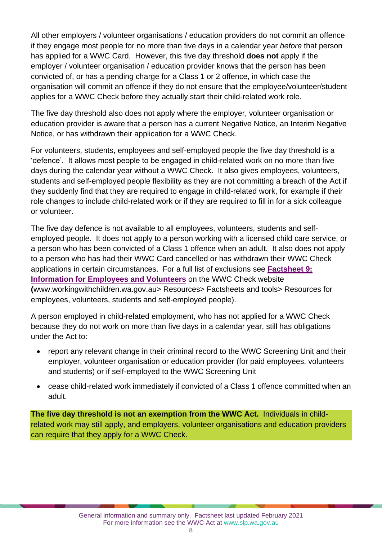All other employers / volunteer organisations / education providers do not commit an offence if they engage most people for no more than five days in a calendar year *before* that person has applied for a WWC Card. However, this five day threshold **does not** apply if the employer / volunteer organisation / education provider knows that the person has been convicted of, or has a pending charge for a Class 1 or 2 offence, in which case the organisation will commit an offence if they do not ensure that the employee/volunteer/student applies for a WWC Check before they actually start their child-related work role.

The five day threshold also does not apply where the employer, volunteer organisation or education provider is aware that a person has a current Negative Notice, an Interim Negative Notice, or has withdrawn their application for a WWC Check.

For volunteers, students, employees and self-employed people the five day threshold is a 'defence'. It allows most people to be engaged in child-related work on no more than five days during the calendar year without a WWC Check. It also gives employees, volunteers, students and self-employed people flexibility as they are not committing a breach of the Act if they suddenly find that they are required to engage in child-related work, for example if their role changes to include child-related work or if they are required to fill in for a sick colleague or volunteer.

The five day defence is not available to all employees, volunteers, students and selfemployed people. It does not apply to a person working with a licensed child care service, or a person who has been convicted of a Class 1 offence when an adult. It also does not apply to a person who has had their WWC Card cancelled or has withdrawn their WWC Check applications in certain circumstances. For a full list of exclusions see **[Factsheet 9:](https://workingwithchildren.wa.gov.au/docs/default-source/default-document-library/factsheet-9-information-for-employees-and-volunteer-2015.pdf)  [Information for Employees and Volunteers](https://workingwithchildren.wa.gov.au/docs/default-source/default-document-library/factsheet-9-information-for-employees-and-volunteer-2015.pdf)** on the WWC Check website **(**[www.workingwithchildren.wa.gov.au>](http://www.workingwithchildren.wa.gov.au/) Resources> Factsheets and tools> Resources for employees, volunteers, students and self-employed people).

A person employed in child-related employment, who has not applied for a WWC Check because they do not work on more than five days in a calendar year, still has obligations under the Act to:

- report any relevant change in their criminal record to the WWC Screening Unit and their employer, volunteer organisation or education provider (for paid employees, volunteers and students) or if self-employed to the WWC Screening Unit
- cease child-related work immediately if convicted of a Class 1 offence committed when an adult.

**The five day threshold is not an exemption from the WWC Act.** Individuals in childrelated work may still apply, and employers, volunteer organisations and education providers can require that they apply for a WWC Check.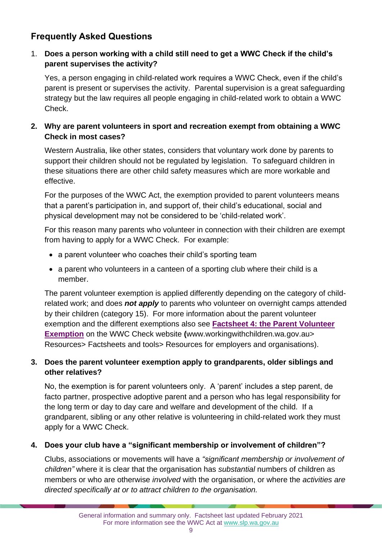# **Frequently Asked Questions**

#### 1. **Does a person working with a child still need to get a WWC Check if the child's parent supervises the activity?**

Yes, a person engaging in child-related work requires a WWC Check, even if the child's parent is present or supervises the activity. Parental supervision is a great safeguarding strategy but the law requires all people engaging in child-related work to obtain a WWC Check.

#### **2. Why are parent volunteers in sport and recreation exempt from obtaining a WWC Check in most cases?**

Western Australia, like other states, considers that voluntary work done by parents to support their children should not be regulated by legislation. To safeguard children in these situations there are other child safety measures which are more workable and effective.

For the purposes of the WWC Act, the exemption provided to parent volunteers means that a parent's participation in, and support of, their child's educational, social and physical development may not be considered to be 'child-related work'.

For this reason many parents who volunteer in connection with their children are exempt from having to apply for a WWC Check. For example:

- a parent volunteer who coaches their child's sporting team
- a parent who volunteers in a canteen of a sporting club where their child is a member.

The parent volunteer exemption is applied differently depending on the category of childrelated work; and does *not apply* to parents who volunteer on overnight camps attended by their children (category 15). For more information about the parent volunteer exemption and the different exemptions also see **[Factsheet 4: the Parent Volunteer](https://workingwithchildren.wa.gov.au/docs/default-source/default-document-library/factsheet-4-the-parent-volunteer-exemption-2015.pdf)  [Exemption](https://workingwithchildren.wa.gov.au/docs/default-source/default-document-library/factsheet-4-the-parent-volunteer-exemption-2015.pdf)** on the WWC Check website **(**[www.workingwithchildren.wa.gov.au>](http://www.workingwithchildren.wa.gov.au/) Resources> Factsheets and tools> Resources for employers and organisations).

#### **3. Does the parent volunteer exemption apply to grandparents, older siblings and other relatives?**

No, the exemption is for parent volunteers only. A 'parent' includes a step parent, de facto partner, prospective adoptive parent and a person who has legal responsibility for the long term or day to day care and welfare and development of the child. If a grandparent, sibling or any other relative is volunteering in child-related work they must apply for a WWC Check.

#### **4. Does your club have a "significant membership or involvement of children"?**

Clubs, associations or movements will have a *"significant membership or involvement of children"* where it is clear that the organisation has *substantial* numbers of children as members or who are otherwise *involved* with the organisation, or where the *activities are directed specifically at or to attract children to the organisation.*